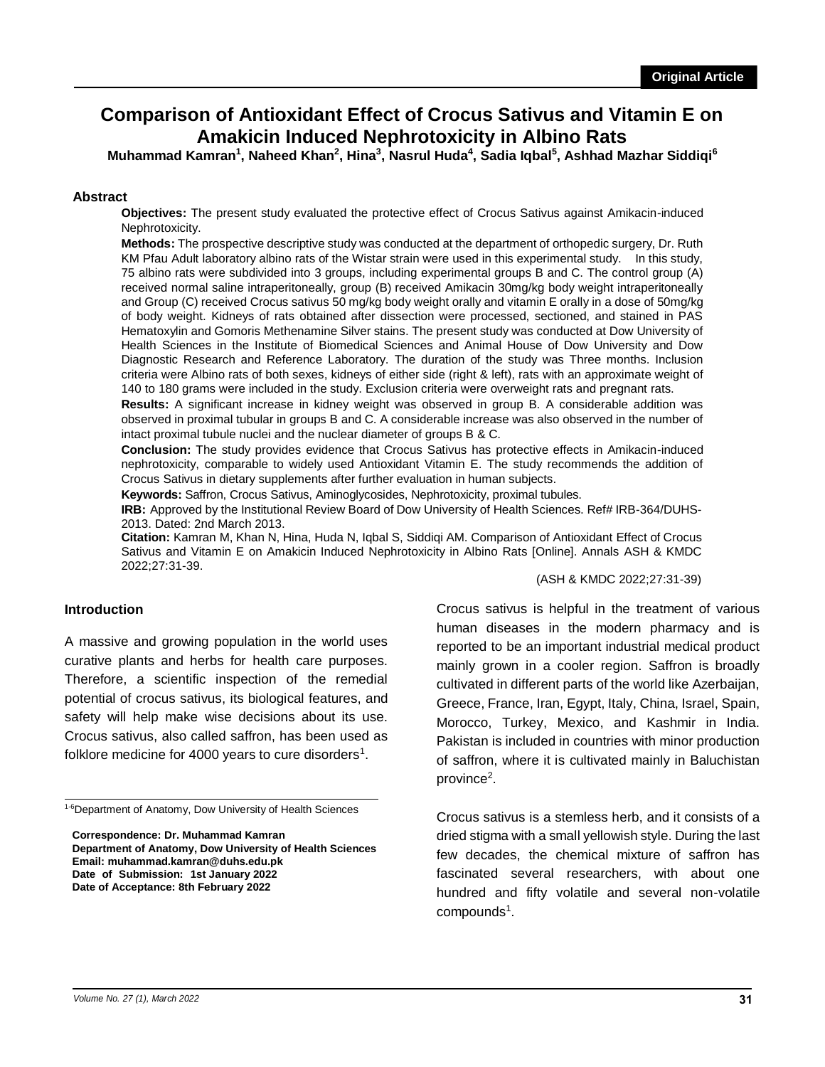# **Comparison of Antioxidant Effect of Crocus Sativus and Vitamin E on Amakicin Induced Nephrotoxicity in Albino Rats**

**Muhammad Kamran<sup>1</sup> , Naheed Khan<sup>2</sup> , Hina<sup>3</sup> , Nasrul Huda<sup>4</sup> , Sadia Iqbal<sup>5</sup> , Ashhad Mazhar Siddiqi<sup>6</sup>**

#### **Abstract**

**Objectives:** The present study evaluated the protective effect of Crocus Sativus against Amikacin-induced Nephrotoxicity.

**Methods:** The prospective descriptive study was conducted at the department of orthopedic surgery, Dr. Ruth KM Pfau Adult laboratory albino rats of the Wistar strain were used in this experimental study. In this study, 75 albino rats were subdivided into 3 groups, including experimental groups B and C. The control group (A) received normal saline intraperitoneally, group (B) received Amikacin 30mg/kg body weight intraperitoneally and Group (C) received Crocus sativus 50 mg/kg body weight orally and vitamin E orally in a dose of 50mg/kg of body weight. Kidneys of rats obtained after dissection were processed, sectioned, and stained in PAS Hematoxylin and Gomoris Methenamine Silver stains. The present study was conducted at Dow University of Health Sciences in the Institute of Biomedical Sciences and Animal House of Dow University and Dow Diagnostic Research and Reference Laboratory. The duration of the study was Three months. Inclusion criteria were Albino rats of both sexes, kidneys of either side (right & left), rats with an approximate weight of 140 to 180 grams were included in the study. Exclusion criteria were overweight rats and pregnant rats.

**Results:** A significant increase in kidney weight was observed in group B. A considerable addition was observed in proximal tubular in groups B and C. A considerable increase was also observed in the number of intact proximal tubule nuclei and the nuclear diameter of groups B & C.

**Conclusion:** The study provides evidence that Crocus Sativus has protective effects in Amikacin-induced nephrotoxicity, comparable to widely used Antioxidant Vitamin E. The study recommends the addition of Crocus Sativus in dietary supplements after further evaluation in human subjects.

**Keywords:** Saffron, Crocus Sativus, Aminoglycosides, Nephrotoxicity, proximal tubules.

**IRB:** Approved by the Institutional Review Board of Dow University of Health Sciences. Ref# IRB-364/DUHS-2013. Dated: 2nd March 2013.

**Citation:** Kamran M, Khan N, Hina, Huda N, Iqbal S, Siddiqi AM. Comparison of Antioxidant Effect of Crocus Sativus and Vitamin E on Amakicin Induced Nephrotoxicity in Albino Rats [Online]. Annals ASH & KMDC 2022;27:31-39.

(ASH & KMDC 2022;27:31-39)

#### **Introduction**

A massive and growing population in the world uses curative plants and herbs for health care purposes. Therefore, a scientific inspection of the remedial potential of crocus sativus, its biological features, and safety will help make wise decisions about its use. Crocus sativus, also called saffron, has been used as folklore medicine for 4000 years to cure disorders<sup>1</sup>.

<sup>1-6</sup>Department of Anatomy, Dow University of Health Sciences

**Correspondence: Dr. Muhammad Kamran Department of Anatomy, Dow University of Health Sciences Email: muhammad.kamran@duhs.edu.pk Date of Submission: 1st January 2022 Date of Acceptance: 8th February 2022**

Crocus sativus is helpful in the treatment of various human diseases in the modern pharmacy and is reported to be an important industrial medical product mainly grown in a cooler region. Saffron is broadly cultivated in different parts of the world like Azerbaijan, Greece, France, Iran, Egypt, Italy, China, Israel, Spain, Morocco, Turkey, Mexico, and Kashmir in India. Pakistan is included in countries with minor production of saffron, where it is cultivated mainly in Baluchistan province<sup>2</sup>.

Crocus sativus is a stemless herb, and it consists of a dried stigma with a small yellowish style. During the last few decades, the chemical mixture of saffron has fascinated several researchers, with about one hundred and fifty volatile and several non-volatile compounds<sup>1</sup>.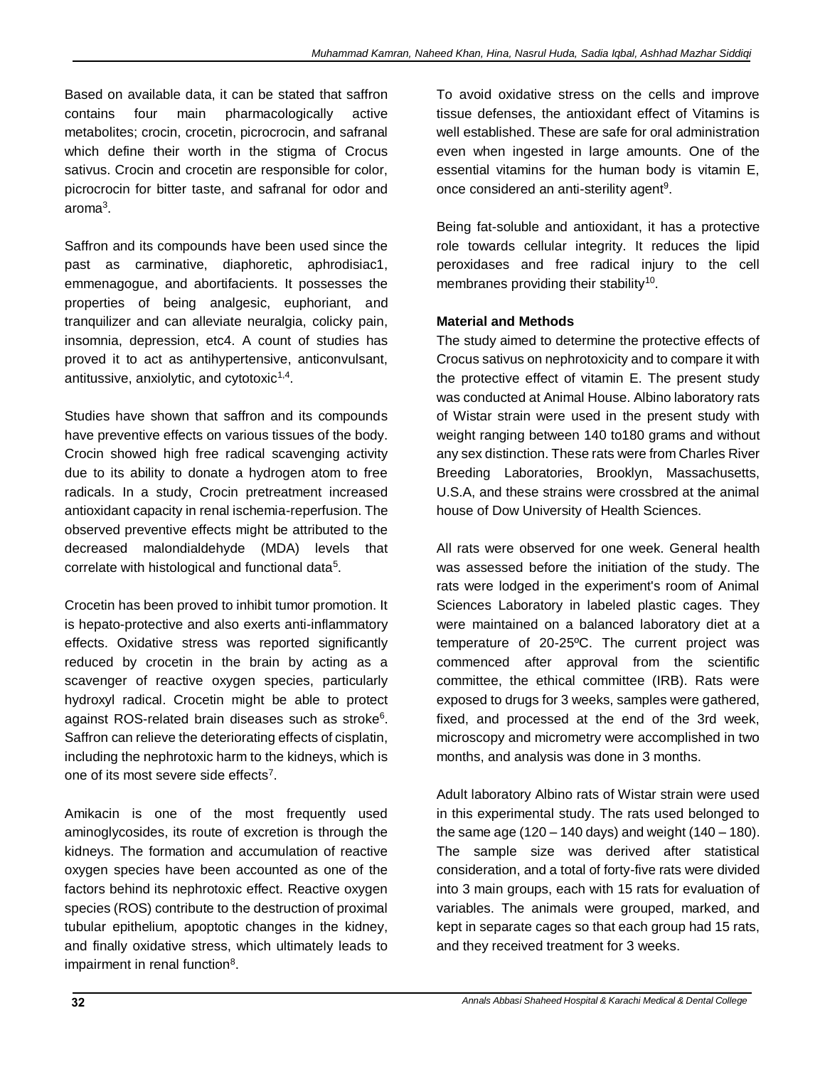Based on available data, it can be stated that saffron contains four main pharmacologically active metabolites; crocin, crocetin, picrocrocin, and safranal which define their worth in the stigma of Crocus sativus. Crocin and crocetin are responsible for color, picrocrocin for bitter taste, and safranal for odor and aroma<sup>3</sup>.

Saffron and its compounds have been used since the past as carminative, diaphoretic, aphrodisiac1, emmenagogue, and abortifacients. It possesses the properties of being analgesic, euphoriant, and tranquilizer and can alleviate neuralgia, colicky pain, insomnia, depression, etc4. A count of studies has proved it to act as antihypertensive, anticonvulsant, antitussive, anxiolytic, and cytotoxic<sup>1,4</sup>.

Studies have shown that saffron and its compounds have preventive effects on various tissues of the body. Crocin showed high free radical scavenging activity due to its ability to donate a hydrogen atom to free radicals. In a study, Crocin pretreatment increased antioxidant capacity in renal ischemia-reperfusion. The observed preventive effects might be attributed to the decreased malondialdehyde (MDA) levels that correlate with histological and functional data<sup>5</sup>.

Crocetin has been proved to inhibit tumor promotion. It is hepato-protective and also exerts anti-inflammatory effects. Oxidative stress was reported significantly reduced by crocetin in the brain by acting as a scavenger of reactive oxygen species, particularly hydroxyl radical. Crocetin might be able to protect against ROS-related brain diseases such as stroke<sup>6</sup>. Saffron can relieve the deteriorating effects of cisplatin, including the nephrotoxic harm to the kidneys, which is one of its most severe side effects<sup>7</sup>.

Amikacin is one of the most frequently used aminoglycosides, its route of excretion is through the kidneys. The formation and accumulation of reactive oxygen species have been accounted as one of the factors behind its nephrotoxic effect. Reactive oxygen species (ROS) contribute to the destruction of proximal tubular epithelium, apoptotic changes in the kidney, and finally oxidative stress, which ultimately leads to impairment in renal function<sup>8</sup>.

To avoid oxidative stress on the cells and improve tissue defenses, the antioxidant effect of Vitamins is well established. These are safe for oral administration even when ingested in large amounts. One of the essential vitamins for the human body is vitamin E, once considered an anti-sterility agent<sup>9</sup>.

Being fat-soluble and antioxidant, it has a protective role towards cellular integrity. It reduces the lipid peroxidases and free radical injury to the cell membranes providing their stability<sup>10</sup>.

# **Material and Methods**

The study aimed to determine the protective effects of Crocus sativus on nephrotoxicity and to compare it with the protective effect of vitamin E. The present study was conducted at Animal House. Albino laboratory rats of Wistar strain were used in the present study with weight ranging between 140 to180 grams and without any sex distinction. These rats were from Charles River Breeding Laboratories, Brooklyn, Massachusetts, U.S.A, and these strains were crossbred at the animal house of Dow University of Health Sciences.

All rats were observed for one week. General health was assessed before the initiation of the study. The rats were lodged in the experiment's room of Animal Sciences Laboratory in labeled plastic cages. They were maintained on a balanced laboratory diet at a temperature of 20-25ºC. The current project was commenced after approval from the scientific committee, the ethical committee (IRB). Rats were exposed to drugs for 3 weeks, samples were gathered, fixed, and processed at the end of the 3rd week, microscopy and micrometry were accomplished in two months, and analysis was done in 3 months.

Adult laboratory Albino rats of Wistar strain were used in this experimental study. The rats used belonged to the same age  $(120 - 140 \text{ days})$  and weight  $(140 - 180)$ . The sample size was derived after statistical consideration, and a total of forty-five rats were divided into 3 main groups, each with 15 rats for evaluation of variables. The animals were grouped, marked, and kept in separate cages so that each group had 15 rats, and they received treatment for 3 weeks.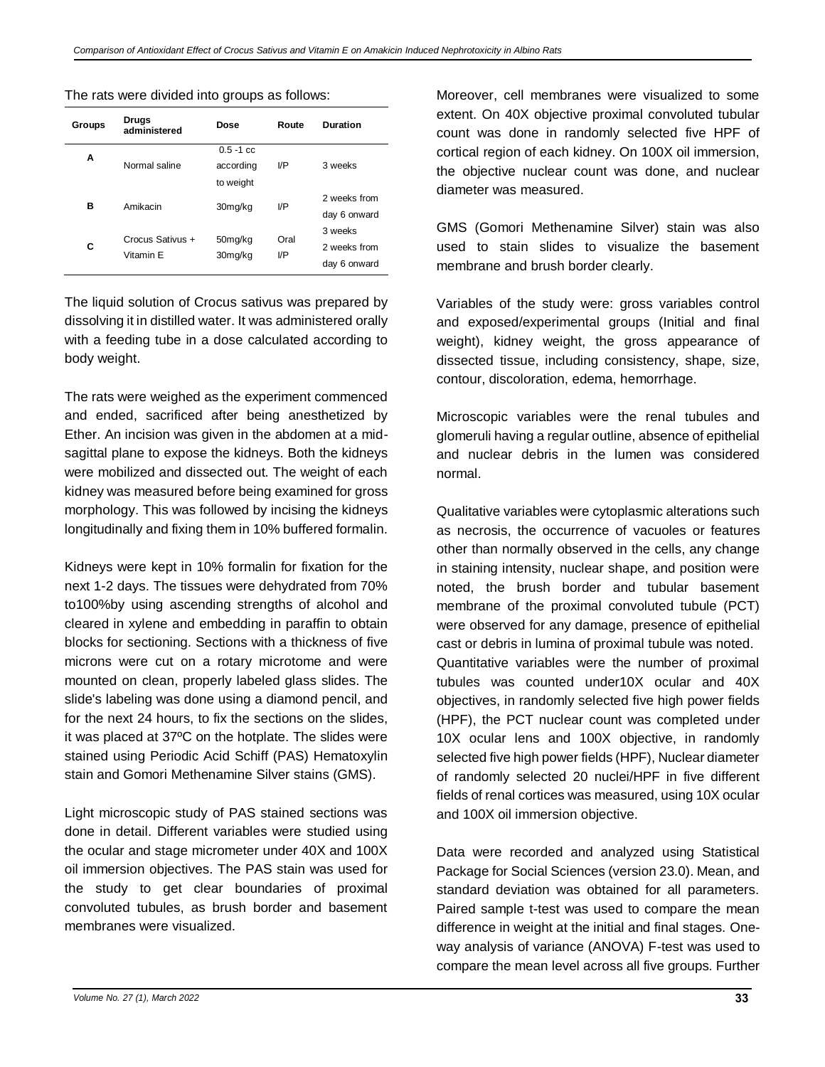#### The rats were divided into groups as follows:

| Groups | <b>Drugs</b><br>administered  | Dose                                   | Route       | Duration                                |
|--------|-------------------------------|----------------------------------------|-------------|-----------------------------------------|
| Α      | Normal saline                 | $0.5 - 1$ cc<br>according<br>to weight | I/P         | 3 weeks                                 |
| в      | Amikacin                      | 30mg/kg                                | I/P         | 2 weeks from<br>day 6 onward            |
| С      | Crocus Sativus +<br>Vitamin E | 50mg/kg<br>30mg/kg                     | Oral<br>I/P | 3 weeks<br>2 weeks from<br>day 6 onward |

The liquid solution of Crocus sativus was prepared by dissolving it in distilled water. It was administered orally with a feeding tube in a dose calculated according to body weight.

The rats were weighed as the experiment commenced and ended, sacrificed after being anesthetized by Ether. An incision was given in the abdomen at a midsagittal plane to expose the kidneys. Both the kidneys were mobilized and dissected out. The weight of each kidney was measured before being examined for gross morphology. This was followed by incising the kidneys longitudinally and fixing them in 10% buffered formalin.

Kidneys were kept in 10% formalin for fixation for the next 1-2 days. The tissues were dehydrated from 70% to100%by using ascending strengths of alcohol and cleared in xylene and embedding in paraffin to obtain blocks for sectioning. Sections with a thickness of five microns were cut on a rotary microtome and were mounted on clean, properly labeled glass slides. The slide's labeling was done using a diamond pencil, and for the next 24 hours, to fix the sections on the slides, it was placed at 37ºC on the hotplate. The slides were stained using Periodic Acid Schiff (PAS) Hematoxylin stain and Gomori Methenamine Silver stains (GMS).

Light microscopic study of PAS stained sections was done in detail. Different variables were studied using the ocular and stage micrometer under 40X and 100X oil immersion objectives. The PAS stain was used for the study to get clear boundaries of proximal convoluted tubules, as brush border and basement membranes were visualized.

Moreover, cell membranes were visualized to some extent. On 40X objective proximal convoluted tubular count was done in randomly selected five HPF of cortical region of each kidney. On 100X oil immersion, the objective nuclear count was done, and nuclear diameter was measured.

GMS (Gomori Methenamine Silver) stain was also used to stain slides to visualize the basement membrane and brush border clearly.

Variables of the study were: gross variables control and exposed/experimental groups (Initial and final weight), kidney weight, the gross appearance of dissected tissue, including consistency, shape, size, contour, discoloration, edema, hemorrhage.

Microscopic variables were the renal tubules and glomeruli having a regular outline, absence of epithelial and nuclear debris in the lumen was considered normal.

Qualitative variables were cytoplasmic alterations such as necrosis, the occurrence of vacuoles or features other than normally observed in the cells, any change in staining intensity, nuclear shape, and position were noted, the brush border and tubular basement membrane of the proximal convoluted tubule (PCT) were observed for any damage, presence of epithelial cast or debris in lumina of proximal tubule was noted. Quantitative variables were the number of proximal tubules was counted under10X ocular and 40X objectives, in randomly selected five high power fields (HPF), the PCT nuclear count was completed under 10X ocular lens and 100X objective, in randomly selected five high power fields (HPF), Nuclear diameter of randomly selected 20 nuclei/HPF in five different fields of renal cortices was measured, using 10X ocular and 100X oil immersion objective.

Data were recorded and analyzed using Statistical Package for Social Sciences (version 23.0). Mean, and standard deviation was obtained for all parameters. Paired sample t-test was used to compare the mean difference in weight at the initial and final stages. Oneway analysis of variance (ANOVA) F-test was used to compare the mean level across all five groups. Further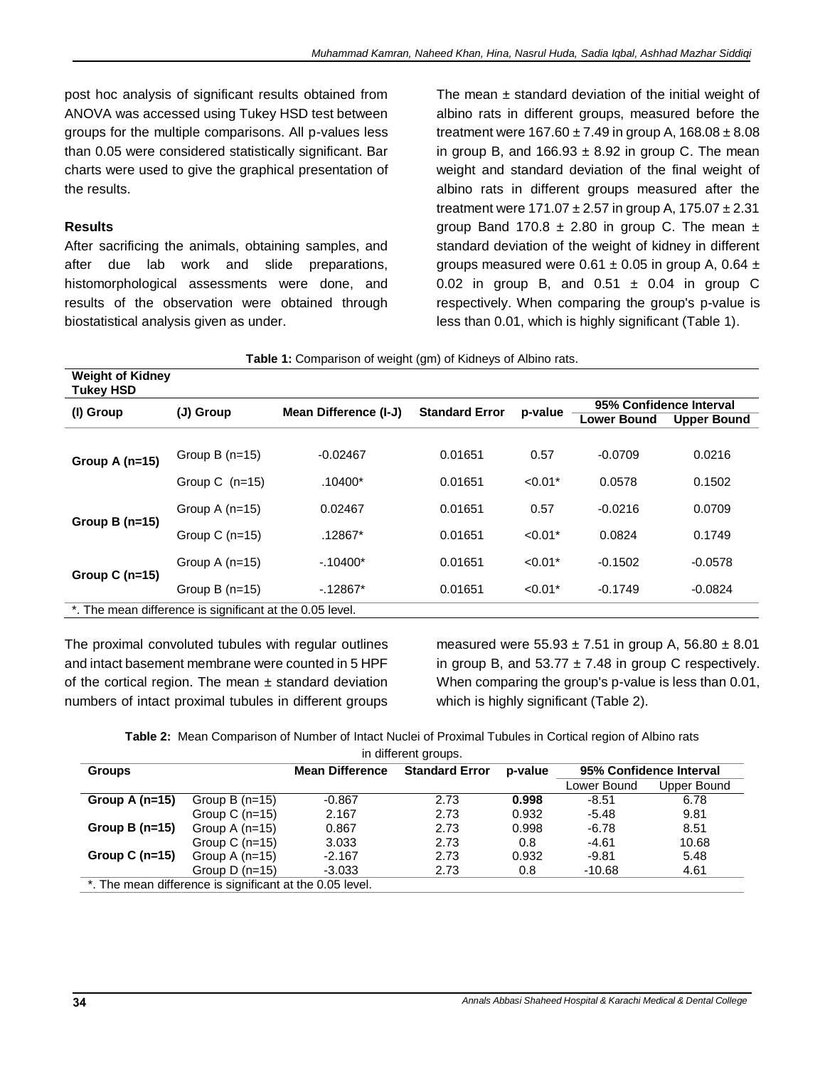post hoc analysis of significant results obtained from ANOVA was accessed using Tukey HSD test between groups for the multiple comparisons. All p-values less than 0.05 were considered statistically significant. Bar charts were used to give the graphical presentation of the results.

## **Results**

After sacrificing the animals, obtaining samples, and after due lab work and slide preparations, histomorphological assessments were done, and results of the observation were obtained through biostatistical analysis given as under.

The mean  $\pm$  standard deviation of the initial weight of albino rats in different groups, measured before the treatment were  $167.60 \pm 7.49$  in group A,  $168.08 \pm 8.08$ in group B, and  $166.93 \pm 8.92$  in group C. The mean weight and standard deviation of the final weight of albino rats in different groups measured after the treatment were  $171.07 \pm 2.57$  in group A,  $175.07 \pm 2.31$ group Band 170.8  $\pm$  2.80 in group C. The mean  $\pm$ standard deviation of the weight of kidney in different groups measured were  $0.61 \pm 0.05$  in group A, 0.64  $\pm$ 0.02 in group B, and  $0.51 \pm 0.04$  in group C respectively. When comparing the group's p-value is less than 0.01, which is highly significant (Table 1).

| <b>Table 1:</b> Comparison of weight (gm) of Kidneys of Albino rats. |                  |                       |                       |           |                         |                    |
|----------------------------------------------------------------------|------------------|-----------------------|-----------------------|-----------|-------------------------|--------------------|
| <b>Weight of Kidney</b><br><b>Tukey HSD</b>                          |                  |                       |                       |           |                         |                    |
| (I) Group                                                            | (J) Group        | Mean Difference (I-J) | <b>Standard Error</b> | p-value   | 95% Confidence Interval |                    |
|                                                                      |                  |                       |                       |           | <b>Lower Bound</b>      | <b>Upper Bound</b> |
|                                                                      |                  |                       |                       |           |                         |                    |
| Group A $(n=15)$                                                     | Group B $(n=15)$ | $-0.02467$            | 0.01651               | 0.57      | $-0.0709$               | 0.0216             |
|                                                                      | Group C $(n=15)$ | $.10400*$             | 0.01651               | $< 0.01*$ | 0.0578                  | 0.1502             |
| Group B $(n=15)$                                                     | Group A $(n=15)$ | 0.02467               | 0.01651               | 0.57      | $-0.0216$               | 0.0709             |
|                                                                      | Group $C$ (n=15) | .12867*               | 0.01651               | $< 0.01*$ | 0.0824                  | 0.1749             |
| Group C $(n=15)$                                                     | Group A $(n=15)$ | $-10400*$             | 0.01651               | $< 0.01*$ | $-0.1502$               | $-0.0578$          |
|                                                                      | Group B $(n=15)$ | $-12867*$             | 0.01651               | $< 0.01*$ | $-0.1749$               | $-0.0824$          |
| *. The mean difference is significant at the 0.05 level.             |                  |                       |                       |           |                         |                    |

**Table 1:** Comparison of weight (gm) of Kidneys of Albino rats.

The proximal convoluted tubules with regular outlines and intact basement membrane were counted in 5 HPF of the cortical region. The mean  $\pm$  standard deviation numbers of intact proximal tubules in different groups measured were  $55.93 \pm 7.51$  in group A,  $56.80 \pm 8.01$ in group B, and  $53.77 \pm 7.48$  in group C respectively. When comparing the group's p-value is less than 0.01, which is highly significant (Table 2).

**Table 2:** Mean Comparison of Number of Intact Nuclei of Proximal Tubules in Cortical region of Albino rats

| in different groups.                                     |                  |                        |                                  |       |             |                         |  |
|----------------------------------------------------------|------------------|------------------------|----------------------------------|-------|-------------|-------------------------|--|
| <b>Groups</b>                                            |                  | <b>Mean Difference</b> | <b>Standard Error</b><br>p-value |       |             | 95% Confidence Interval |  |
|                                                          |                  |                        |                                  |       | Lower Bound | Upper Bound             |  |
| Group A $(n=15)$                                         | Group B $(n=15)$ | $-0.867$               | 2.73                             | 0.998 | $-8.51$     | 6.78                    |  |
|                                                          | Group C $(n=15)$ | 2.167                  | 2.73                             | 0.932 | $-5.48$     | 9.81                    |  |
| Group B $(n=15)$                                         | Group A $(n=15)$ | 0.867                  | 2.73                             | 0.998 | $-6.78$     | 8.51                    |  |
|                                                          | Group C $(n=15)$ | 3.033                  | 2.73                             | 0.8   | $-4.61$     | 10.68                   |  |
| Group C $(n=15)$                                         | Group A $(n=15)$ | $-2.167$               | 2.73                             | 0.932 | $-9.81$     | 5.48                    |  |
|                                                          | Group $D(n=15)$  | $-3.033$               | 2.73                             | 0.8   | $-10.68$    | 4.61                    |  |
| *. The mean difference is significant at the 0.05 level. |                  |                        |                                  |       |             |                         |  |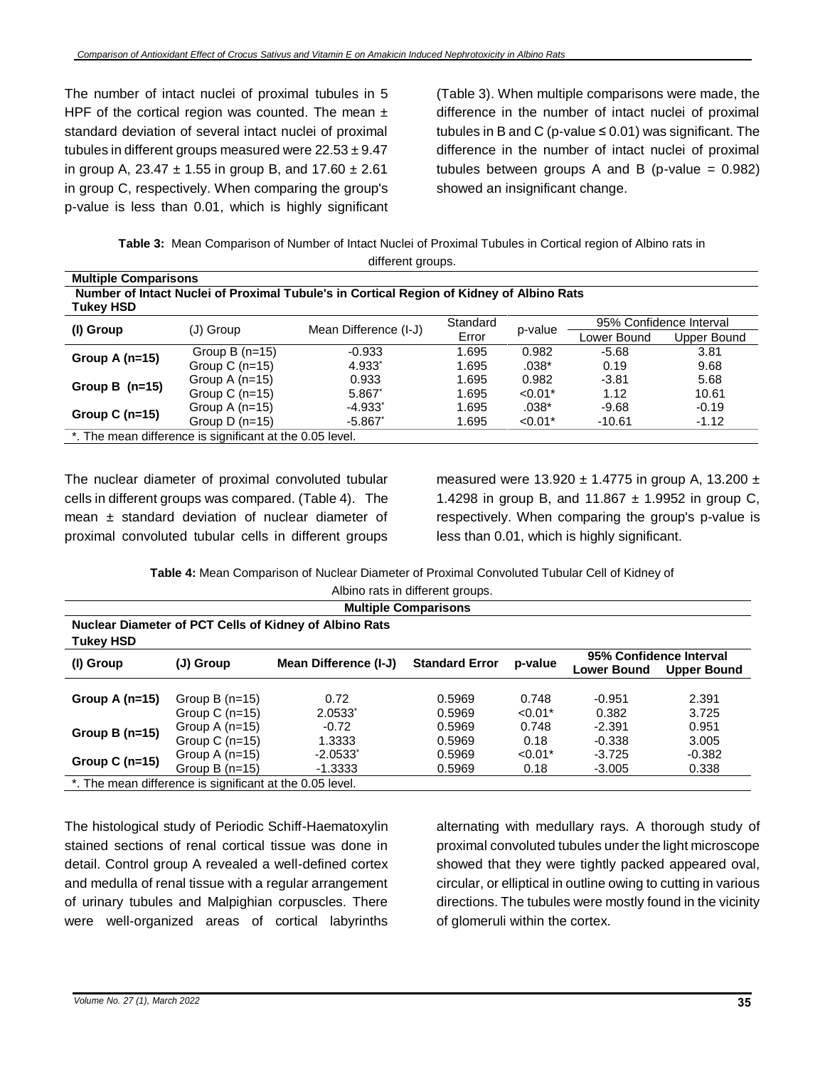The number of intact nuclei of proximal tubules in 5 HPF of the cortical region was counted. The mean  $\pm$ standard deviation of several intact nuclei of proximal tubules in different groups measured were  $22.53 \pm 9.47$ in group A, 23.47  $\pm$  1.55 in group B, and 17.60  $\pm$  2.61 in group C, respectively. When comparing the group's p-value is less than 0.01, which is highly significant (Table 3). When multiple comparisons were made, the difference in the number of intact nuclei of proximal tubules in B and C (p-value  $\leq$  0.01) was significant. The difference in the number of intact nuclei of proximal tubules between groups A and B (p-value  $= 0.982$ ) showed an insignificant change.

**Table 3:** Mean Comparison of Number of Intact Nuclei of Proximal Tubules in Cortical region of Albino rats in different groups.

| <b>Multiple Comparisons</b>                                                                                  |                                                          |                       |          |           |                         |             |  |
|--------------------------------------------------------------------------------------------------------------|----------------------------------------------------------|-----------------------|----------|-----------|-------------------------|-------------|--|
| Number of Intact Nuclei of Proximal Tubule's in Cortical Region of Kidney of Albino Rats<br><b>Tukey HSD</b> |                                                          |                       |          |           |                         |             |  |
|                                                                                                              | (J) Group                                                |                       | Standard | p-value   | 95% Confidence Interval |             |  |
| (I) Group                                                                                                    |                                                          | Mean Difference (I-J) | Error    |           | Lower Bound             | Upper Bound |  |
| Group A $(n=15)$                                                                                             | Group B $(n=15)$                                         | $-0.933$              | 1.695    | 0.982     | $-5.68$                 | 3.81        |  |
|                                                                                                              | Group C $(n=15)$                                         | $4.933*$              | 1.695    | .038*     | 0.19                    | 9.68        |  |
| Group B $(n=15)$                                                                                             | Group A $(n=15)$                                         | 0.933                 | 1.695    | 0.982     | $-3.81$                 | 5.68        |  |
|                                                                                                              | Group C $(n=15)$                                         | 5.867*                | 1.695    | $< 0.01*$ | 1.12                    | 10.61       |  |
| Group C $(n=15)$                                                                                             | Group A $(n=15)$                                         | $-4.933$ <sup>*</sup> | 1.695    | $.038*$   | $-9.68$                 | $-0.19$     |  |
|                                                                                                              | Group $D(n=15)$                                          | $-5.867$              | 1.695    | $< 0.01*$ | $-10.61$                | $-1.12$     |  |
|                                                                                                              | *. The mean difference is significant at the 0.05 level. |                       |          |           |                         |             |  |

The nuclear diameter of proximal convoluted tubular cells in different groups was compared. (Table 4). The mean  $\pm$  standard deviation of nuclear diameter of proximal convoluted tubular cells in different groups measured were  $13.920 \pm 1.4775$  in group A, 13.200  $\pm$ 1.4298 in group B, and  $11.867 \pm 1.9952$  in group C, respectively. When comparing the group's p-value is less than 0.01, which is highly significant.

**Table 4:** Mean Comparison of Nuclear Diameter of Proximal Convoluted Tubular Cell of Kidney of Albino rats in different groups.

| <b>Multiple Comparisons</b>                                                |                                                          |                                     |                            |                            |                                                                     |                         |
|----------------------------------------------------------------------------|----------------------------------------------------------|-------------------------------------|----------------------------|----------------------------|---------------------------------------------------------------------|-------------------------|
| Nuclear Diameter of PCT Cells of Kidney of Albino Rats<br><b>Tukey HSD</b> |                                                          |                                     |                            |                            |                                                                     |                         |
| (I) Group                                                                  | (J) Group                                                | Mean Difference (I-J)               | <b>Standard Error</b>      | p-value                    | 95% Confidence Interval<br><b>Lower Bound</b><br><b>Upper Bound</b> |                         |
| Group A $(n=15)$                                                           | Group B $(n=15)$                                         | 0.72                                | 0.5969                     | 0.748                      | $-0.951$                                                            | 2.391                   |
| Group B $(n=15)$                                                           | Group C $(n=15)$<br>Group A $(n=15)$<br>Group C $(n=15)$ | $2.0533*$<br>$-0.72$<br>1.3333      | 0.5969<br>0.5969<br>0.5969 | $< 0.01*$<br>0.748<br>0.18 | 0.382<br>$-2.391$<br>$-0.338$                                       | 3.725<br>0.951<br>3.005 |
| Group C $(n=15)$                                                           | Group A $(n=15)$<br>Group B $(n=15)$                     | $-2.0533$ <sup>*</sup><br>$-1.3333$ | 0.5969<br>0.5969           | $< 0.01*$<br>0.18          | $-3.725$<br>$-3.005$                                                | $-0.382$<br>0.338       |
| *. The mean difference is significant at the 0.05 level.                   |                                                          |                                     |                            |                            |                                                                     |                         |

The histological study of Periodic Schiff-Haematoxylin stained sections of renal cortical tissue was done in detail. Control group A revealed a well-defined cortex and medulla of renal tissue with a regular arrangement of urinary tubules and Malpighian corpuscles. There were well-organized areas of cortical labyrinths

alternating with medullary rays. A thorough study of proximal convoluted tubules under the light microscope showed that they were tightly packed appeared oval, circular, or elliptical in outline owing to cutting in various directions. The tubules were mostly found in the vicinity of glomeruli within the cortex.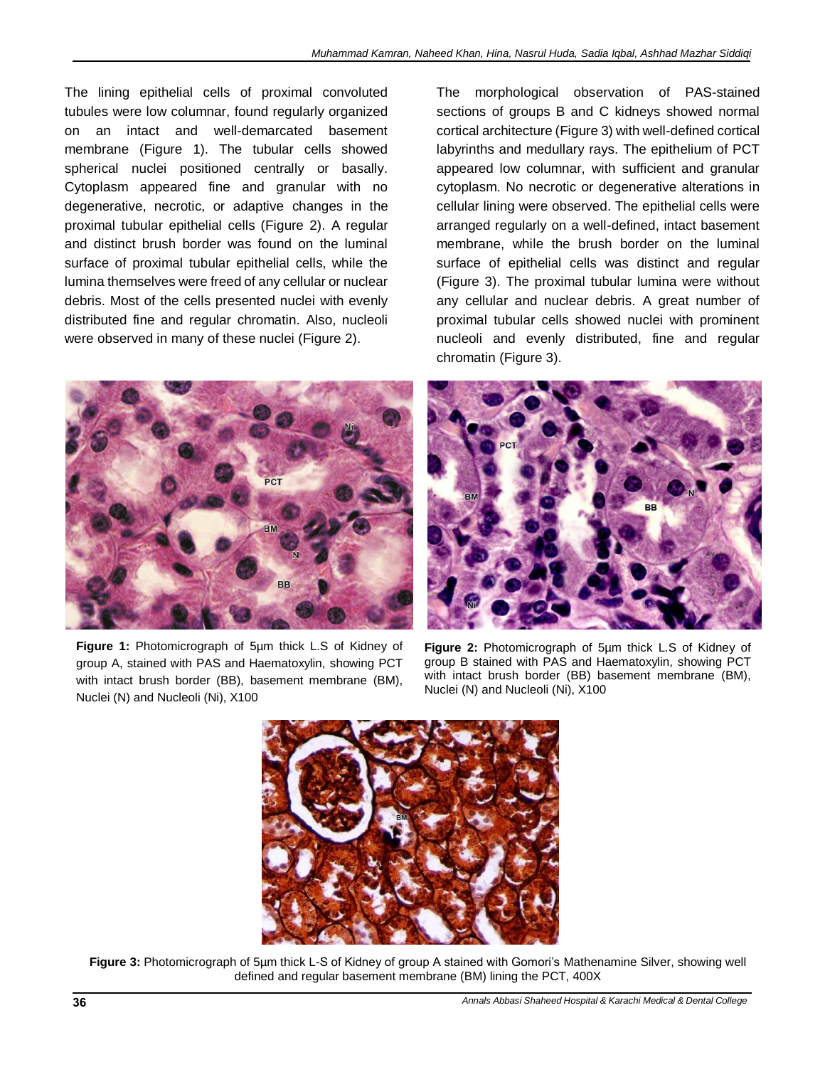The lining epithelial cells of proximal convoluted tubules were low columnar, found regularly organized on an intact and well-demarcated basement membrane (Figure 1). The tubular cells showed spherical nuclei positioned centrally or basally. Cytoplasm appeared fine and granular with no degenerative, necrotic, or adaptive changes in the proximal tubular epithelial cells (Figure 2). A regular and distinct brush border was found on the luminal surface of proximal tubular epithelial cells, while the lumina themselves were freed of any cellular or nuclear debris. Most of the cells presented nuclei with evenly distributed fine and regular chromatin. Also, nucleoli were observed in many of these nuclei (Figure 2).



**Figure 1:** Photomicrograph of 5µm thick L.S of Kidney of group A, stained with PAS and Haematoxylin, showing PCT with intact brush border (BB), basement membrane (BM), Nuclei (N) and Nucleoli (Ni), X100

The morphological observation of PAS-stained sections of groups B and C kidneys showed normal cortical architecture (Figure 3) with well-defined cortical labyrinths and medullary rays. The epithelium of PCT appeared low columnar, with sufficient and granular cytoplasm. No necrotic or degenerative alterations in cellular lining were observed. The epithelial cells were arranged regularly on a well-defined, intact basement membrane, while the brush border on the luminal surface of epithelial cells was distinct and regular (Figure 3). The proximal tubular lumina were without any cellular and nuclear debris. A great number of proximal tubular cells showed nuclei with prominent nucleoli and evenly distributed, fine and regular chromatin (Figure 3).



**Figure 2:** Photomicrograph of 5µm thick L.S of Kidney of group B stained with PAS and Haematoxylin, showing PCT with intact brush border (BB) basement membrane (BM), Nuclei (N) and Nucleoli (Ni), X100



**Figure 3:** Photomicrograph of 5µm thick L-S of Kidney of group A stained with Gomori's Mathenamine Silver, showing well defined and regular basement membrane (BM) lining the PCT, 400X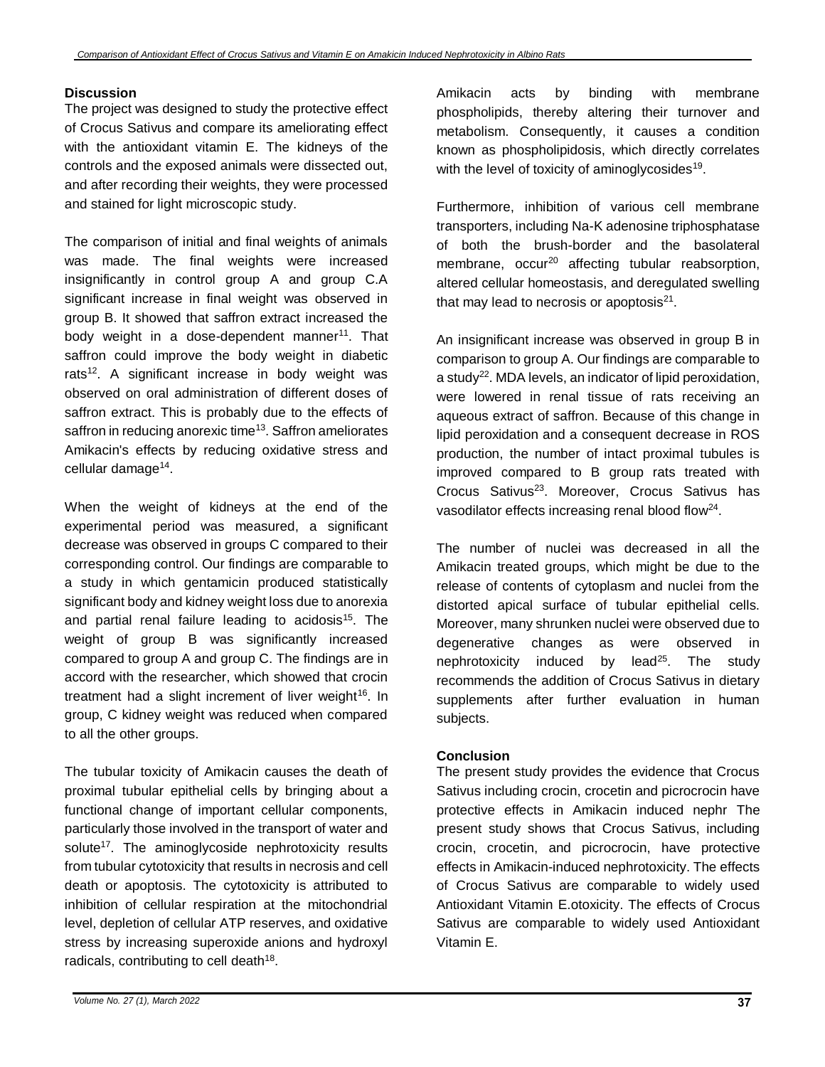## **Discussion**

The project was designed to study the protective effect of Crocus Sativus and compare its ameliorating effect with the antioxidant vitamin E. The kidneys of the controls and the exposed animals were dissected out, and after recording their weights, they were processed and stained for light microscopic study.

The comparison of initial and final weights of animals was made. The final weights were increased insignificantly in control group A and group C.A significant increase in final weight was observed in group B. It showed that saffron extract increased the body weight in a dose-dependent manner<sup>11</sup>. That saffron could improve the body weight in diabetic rats<sup>12</sup>. A significant increase in body weight was observed on oral administration of different doses of saffron extract. This is probably due to the effects of saffron in reducing anorexic time<sup>13</sup>. Saffron ameliorates Amikacin's effects by reducing oxidative stress and cellular damage<sup>14</sup>.

When the weight of kidneys at the end of the experimental period was measured, a significant decrease was observed in groups C compared to their corresponding control. Our findings are comparable to a study in which gentamicin produced statistically significant body and kidney weight loss due to anorexia and partial renal failure leading to acidosis<sup>15</sup>. The weight of group B was significantly increased compared to group A and group C. The findings are in accord with the researcher, which showed that crocin treatment had a slight increment of liver weight<sup>16</sup>. In group, C kidney weight was reduced when compared to all the other groups.

The tubular toxicity of Amikacin causes the death of proximal tubular epithelial cells by bringing about a functional change of important cellular components, particularly those involved in the transport of water and solute<sup>17</sup>. The aminoglycoside nephrotoxicity results from tubular cytotoxicity that results in necrosis and cell death or apoptosis. The cytotoxicity is attributed to inhibition of cellular respiration at the mitochondrial level, depletion of cellular ATP reserves, and oxidative stress by increasing superoxide anions and hydroxyl radicals, contributing to cell death<sup>18</sup>.

Amikacin acts by binding with membrane phospholipids, thereby altering their turnover and metabolism. Consequently, it causes a condition known as phospholipidosis, which directly correlates with the level of toxicity of aminoglycosides<sup>19</sup>.

Furthermore, inhibition of various cell membrane transporters, including Na-K adenosine triphosphatase of both the brush-border and the basolateral membrane, occur<sup>20</sup> affecting tubular reabsorption, altered cellular homeostasis, and deregulated swelling that may lead to necrosis or apoptosis $21$ .

An insignificant increase was observed in group B in comparison to group A. Our findings are comparable to a study<sup>22</sup>. MDA levels, an indicator of lipid peroxidation, were lowered in renal tissue of rats receiving an aqueous extract of saffron. Because of this change in lipid peroxidation and a consequent decrease in ROS production, the number of intact proximal tubules is improved compared to B group rats treated with Crocus Sativus<sup>23</sup>. Moreover, Crocus Sativus has vasodilator effects increasing renal blood flow<sup>24</sup>.

The number of nuclei was decreased in all the Amikacin treated groups, which might be due to the release of contents of cytoplasm and nuclei from the distorted apical surface of tubular epithelial cells. Moreover, many shrunken nuclei were observed due to degenerative changes as were observed in nephrotoxicity induced by lead<sup>25</sup>. The study recommends the addition of Crocus Sativus in dietary supplements after further evaluation in human subjects.

### **Conclusion**

The present study provides the evidence that Crocus Sativus including crocin, crocetin and picrocrocin have protective effects in Amikacin induced nephr The present study shows that Crocus Sativus, including crocin, crocetin, and picrocrocin, have protective effects in Amikacin-induced nephrotoxicity. The effects of Crocus Sativus are comparable to widely used Antioxidant Vitamin E.otoxicity. The effects of Crocus Sativus are comparable to widely used Antioxidant Vitamin E.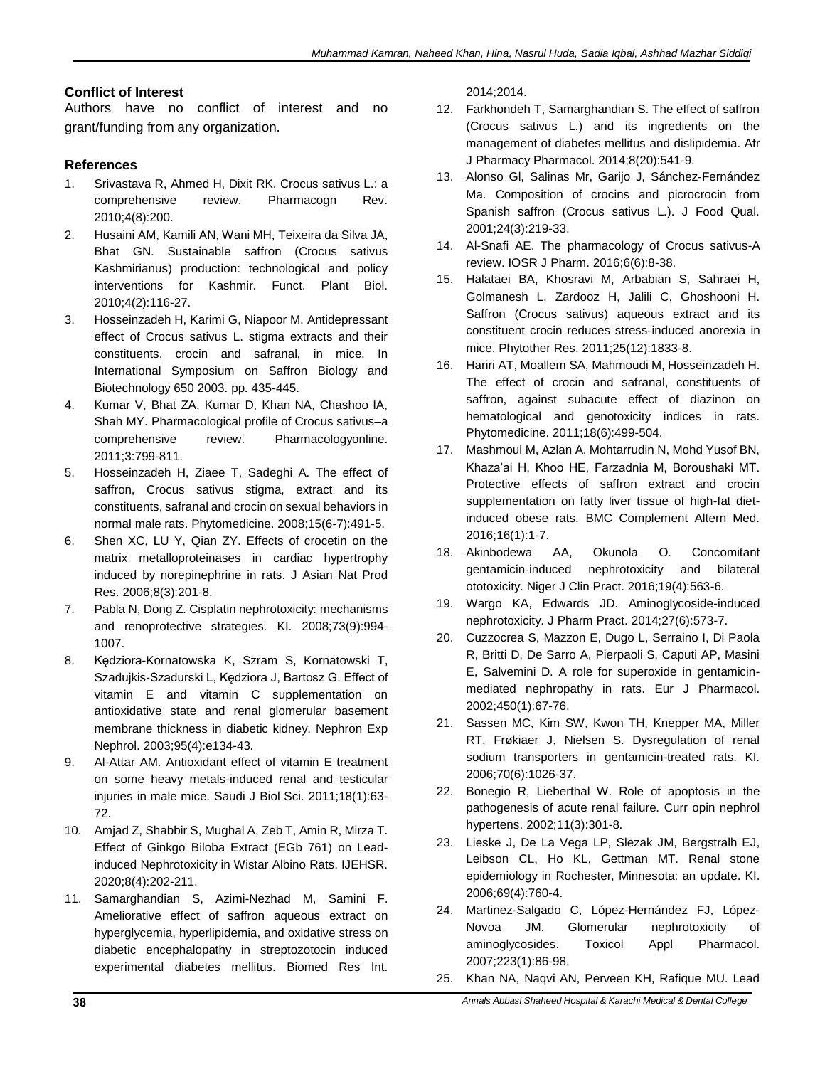# **Conflict of Interest**

Authors have no conflict of interest and no grant/funding from any organization.

# **References**

- 1. Srivastava R, Ahmed H, Dixit RK. Crocus sativus L.: a comprehensive review. Pharmacogn Rev. 2010;4(8):200.
- 2. Husaini AM, Kamili AN, Wani MH, Teixeira da Silva JA, Bhat GN. Sustainable saffron (Crocus sativus Kashmirianus) production: technological and policy interventions for Kashmir. Funct. Plant Biol. 2010;4(2):116-27.
- 3. Hosseinzadeh H, Karimi G, Niapoor M. Antidepressant effect of Crocus sativus L. stigma extracts and their constituents, crocin and safranal, in mice. In International Symposium on Saffron Biology and Biotechnology 650 2003. pp. 435-445.
- 4. Kumar V, Bhat ZA, Kumar D, Khan NA, Chashoo IA, Shah MY. Pharmacological profile of Crocus sativus–a comprehensive review. Pharmacologyonline. 2011;3:799-811.
- 5. Hosseinzadeh H, Ziaee T, Sadeghi A. The effect of saffron, Crocus sativus stigma, extract and its constituents, safranal and crocin on sexual behaviors in normal male rats. Phytomedicine. 2008;15(6-7):491-5.
- 6. Shen XC, LU Y, Qian ZY. Effects of crocetin on the matrix metalloproteinases in cardiac hypertrophy induced by norepinephrine in rats. J Asian Nat Prod Res. 2006;8(3):201-8.
- 7. Pabla N, Dong Z. Cisplatin nephrotoxicity: mechanisms and renoprotective strategies. KI. 2008;73(9):994- 1007.
- 8. Kędziora-Kornatowska K, Szram S, Kornatowski T, Szadujkis-Szadurski L, Kędziora J, Bartosz G. Effect of vitamin E and vitamin C supplementation on antioxidative state and renal glomerular basement membrane thickness in diabetic kidney. Nephron Exp Nephrol. 2003;95(4):e134-43.
- 9. Al-Attar AM. Antioxidant effect of vitamin E treatment on some heavy metals-induced renal and testicular injuries in male mice. Saudi J Biol Sci. 2011;18(1):63- 72.
- 10. Amjad Z, Shabbir S, Mughal A, Zeb T, Amin R, Mirza T. Effect of Ginkgo Biloba Extract (EGb 761) on Leadinduced Nephrotoxicity in Wistar Albino Rats. IJEHSR. 2020;8(4):202-211.
- 11. Samarghandian S, Azimi-Nezhad M, Samini F. Ameliorative effect of saffron aqueous extract on hyperglycemia, hyperlipidemia, and oxidative stress on diabetic encephalopathy in streptozotocin induced experimental diabetes mellitus. Biomed Res Int.

2014;2014.

- 12. Farkhondeh T, Samarghandian S. The effect of saffron (Crocus sativus L.) and its ingredients on the management of diabetes mellitus and dislipidemia. Afr J Pharmacy Pharmacol. 2014;8(20):541-9.
- 13. Alonso Gl, Salinas Mr, Garijo J, Sánchez‐Fernández Ma. Composition of crocins and picrocrocin from Spanish saffron (Crocus sativus L.). J Food Qual. 2001;24(3):219-33.
- 14. Al-Snafi AE. The pharmacology of Crocus sativus-A review. IOSR J Pharm. 2016;6(6):8-38.
- 15. Halataei BA, Khosravi M, Arbabian S, Sahraei H, Golmanesh L, Zardooz H, Jalili C, Ghoshooni H. Saffron (Crocus sativus) aqueous extract and its constituent crocin reduces stress‐induced anorexia in mice. Phytother Res. 2011;25(12):1833-8.
- 16. Hariri AT, Moallem SA, Mahmoudi M, Hosseinzadeh H. The effect of crocin and safranal, constituents of saffron, against subacute effect of diazinon on hematological and genotoxicity indices in rats. Phytomedicine. 2011;18(6):499-504.
- 17. Mashmoul M, Azlan A, Mohtarrudin N, Mohd Yusof BN, Khaza'ai H, Khoo HE, Farzadnia M, Boroushaki MT. Protective effects of saffron extract and crocin supplementation on fatty liver tissue of high-fat dietinduced obese rats. BMC Complement Altern Med. 2016;16(1):1-7.
- 18. Akinbodewa AA, Okunola O. Concomitant gentamicin‐induced nephrotoxicity and bilateral ototoxicity. Niger J Clin Pract. 2016;19(4):563-6.
- 19. Wargo KA, Edwards JD. Aminoglycoside-induced nephrotoxicity. J Pharm Pract. 2014;27(6):573-7.
- 20. Cuzzocrea S, Mazzon E, Dugo L, Serraino I, Di Paola R, Britti D, De Sarro A, Pierpaoli S, Caputi AP, Masini E, Salvemini D. A role for superoxide in gentamicinmediated nephropathy in rats. Eur J Pharmacol. 2002;450(1):67-76.
- 21. Sassen MC, Kim SW, Kwon TH, Knepper MA, Miller RT, Frøkiaer J, Nielsen S. Dysregulation of renal sodium transporters in gentamicin-treated rats. KI. 2006;70(6):1026-37.
- 22. Bonegio R, Lieberthal W. Role of apoptosis in the pathogenesis of acute renal failure. Curr opin nephrol hypertens. 2002;11(3):301-8.
- 23. Lieske J, De La Vega LP, Slezak JM, Bergstralh EJ, Leibson CL, Ho KL, Gettman MT. Renal stone epidemiology in Rochester, Minnesota: an update. KI. 2006;69(4):760-4.
- 24. Martinez-Salgado C, López-Hernández FJ, López-Novoa JM. Glomerular nephrotoxicity of aminoglycosides. Toxicol Appl Pharmacol. 2007;223(1):86-98.
- 25. Khan NA, Naqvi AN, Perveen KH, Rafique MU. Lead